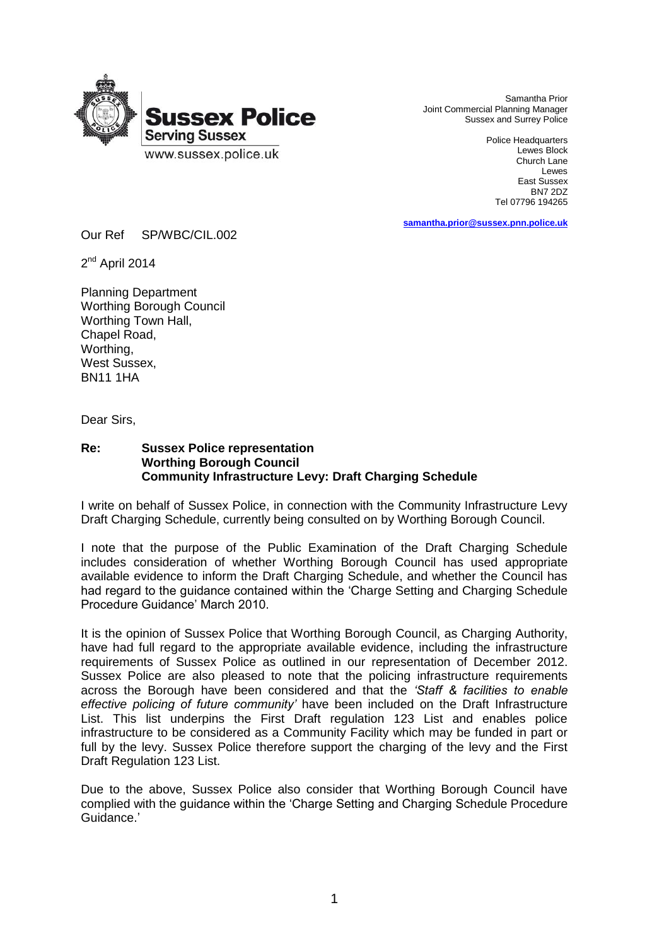

 Samantha Prior Joint Commercial Planning Manager Sussex and Surrey Police

> Police Headquarters Lewes Block Church Lane Lewes East Sussex BN7 2DZ Tel 07796 194265

**[samantha.prior@sussex.pnn.police.uk](mailto:samantha.prior@sussex.pnn.police.uk)**

Our Ref SP/WBC/CIL.002

2<sup>nd</sup> April 2014

Planning Department Worthing Borough Council Worthing Town Hall, Chapel Road, Worthing, West Sussex, BN11 1HA

Dear Sirs,

## **Re: Sussex Police representation Worthing Borough Council Community Infrastructure Levy: Draft Charging Schedule**

I write on behalf of Sussex Police, in connection with the Community Infrastructure Levy Draft Charging Schedule, currently being consulted on by Worthing Borough Council.

I note that the purpose of the Public Examination of the Draft Charging Schedule includes consideration of whether Worthing Borough Council has used appropriate available evidence to inform the Draft Charging Schedule, and whether the Council has had regard to the guidance contained within the 'Charge Setting and Charging Schedule Procedure Guidance' March 2010.

It is the opinion of Sussex Police that Worthing Borough Council, as Charging Authority, have had full regard to the appropriate available evidence, including the infrastructure requirements of Sussex Police as outlined in our representation of December 2012. Sussex Police are also pleased to note that the policing infrastructure requirements across the Borough have been considered and that the *'Staff & facilities to enable effective policing of future community'* have been included on the Draft Infrastructure List. This list underpins the First Draft regulation 123 List and enables police infrastructure to be considered as a Community Facility which may be funded in part or full by the levy. Sussex Police therefore support the charging of the levy and the First Draft Regulation 123 List.

Due to the above, Sussex Police also consider that Worthing Borough Council have complied with the guidance within the 'Charge Setting and Charging Schedule Procedure Guidance.'